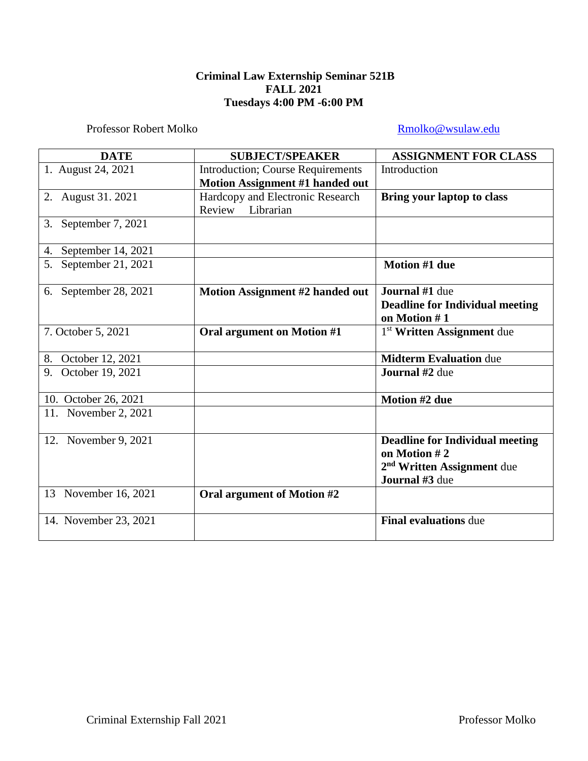# **Criminal Law Externship Seminar 521B FALL 2021 Tuesdays 4:00 PM -6:00 PM**

Professor Robert Molko [Rmolko@wsulaw.edu](mailto:Rmolko@wsulaw.edu)

| <b>DATE</b>              | <b>SUBJECT/SPEAKER</b>                   | <b>ASSIGNMENT FOR CLASS</b>                                                                                        |
|--------------------------|------------------------------------------|--------------------------------------------------------------------------------------------------------------------|
| 1. August 24, 2021       | <b>Introduction; Course Requirements</b> | Introduction                                                                                                       |
|                          | Motion Assignment #1 handed out          |                                                                                                                    |
| 2. August 31. 2021       | Hardcopy and Electronic Research         | <b>Bring your laptop to class</b>                                                                                  |
|                          | Review<br>Librarian                      |                                                                                                                    |
| September 7, 2021<br>3.  |                                          |                                                                                                                    |
| September 14, 2021<br>4. |                                          |                                                                                                                    |
| 5. September 21, 2021    |                                          | <b>Motion #1 due</b>                                                                                               |
| 6. September 28, 2021    | Motion Assignment #2 handed out          | <b>Journal</b> #1 due                                                                                              |
|                          |                                          | <b>Deadline for Individual meeting</b>                                                                             |
|                          |                                          | on Motion #1                                                                                                       |
| 7. October 5, 2021       | Oral argument on Motion #1               | 1 <sup>st</sup> Written Assignment due                                                                             |
| 8. October 12, 2021      |                                          | <b>Midterm Evaluation due</b>                                                                                      |
| October 19, 2021<br>9.   |                                          | <b>Journal</b> #2 due                                                                                              |
| 10. October 26, 2021     |                                          | Motion #2 due                                                                                                      |
| 11. November 2, 2021     |                                          |                                                                                                                    |
| 12. November 9, 2021     |                                          | <b>Deadline for Individual meeting</b><br>on Motion #2<br>2 <sup>nd</sup> Written Assignment due<br>Journal #3 due |
| 13 November 16, 2021     | Oral argument of Motion #2               |                                                                                                                    |
| 14. November 23, 2021    |                                          | <b>Final evaluations due</b>                                                                                       |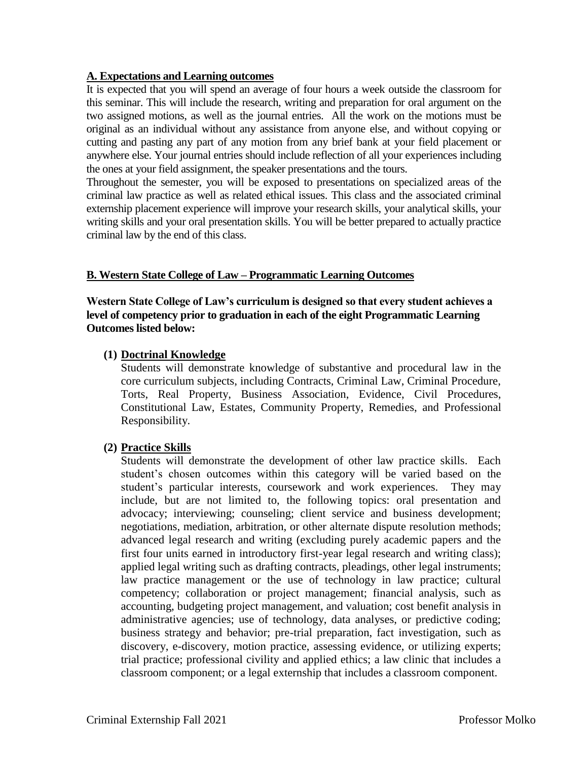## **A. Expectations and Learning outcomes**

It is expected that you will spend an average of four hours a week outside the classroom for this seminar. This will include the research, writing and preparation for oral argument on the two assigned motions, as well as the journal entries. All the work on the motions must be original as an individual without any assistance from anyone else, and without copying or cutting and pasting any part of any motion from any brief bank at your field placement or anywhere else. Your journal entries should include reflection of all your experiences including the ones at your field assignment, the speaker presentations and the tours.

Throughout the semester, you will be exposed to presentations on specialized areas of the criminal law practice as well as related ethical issues. This class and the associated criminal externship placement experience will improve your research skills, your analytical skills, your writing skills and your oral presentation skills. You will be better prepared to actually practice criminal law by the end of this class.

### **B. Western State College of Law – Programmatic Learning Outcomes**

**Western State College of Law's curriculum is designed so that every student achieves a level of competency prior to graduation in each of the eight Programmatic Learning Outcomes listed below:**

## **(1) Doctrinal Knowledge**

Students will demonstrate knowledge of substantive and procedural law in the core curriculum subjects, including Contracts, Criminal Law, Criminal Procedure, Torts, Real Property, Business Association, Evidence, Civil Procedures, Constitutional Law, Estates, Community Property, Remedies, and Professional Responsibility.

### **(2) Practice Skills**

Students will demonstrate the development of other law practice skills. Each student's chosen outcomes within this category will be varied based on the student's particular interests, coursework and work experiences. They may include, but are not limited to, the following topics: oral presentation and advocacy; interviewing; counseling; client service and business development; negotiations, mediation, arbitration, or other alternate dispute resolution methods; advanced legal research and writing (excluding purely academic papers and the first four units earned in introductory first-year legal research and writing class); applied legal writing such as drafting contracts, pleadings, other legal instruments; law practice management or the use of technology in law practice; cultural competency; collaboration or project management; financial analysis, such as accounting, budgeting project management, and valuation; cost benefit analysis in administrative agencies; use of technology, data analyses, or predictive coding; business strategy and behavior; pre-trial preparation, fact investigation, such as discovery, e-discovery, motion practice, assessing evidence, or utilizing experts; trial practice; professional civility and applied ethics; a law clinic that includes a classroom component; or a legal externship that includes a classroom component.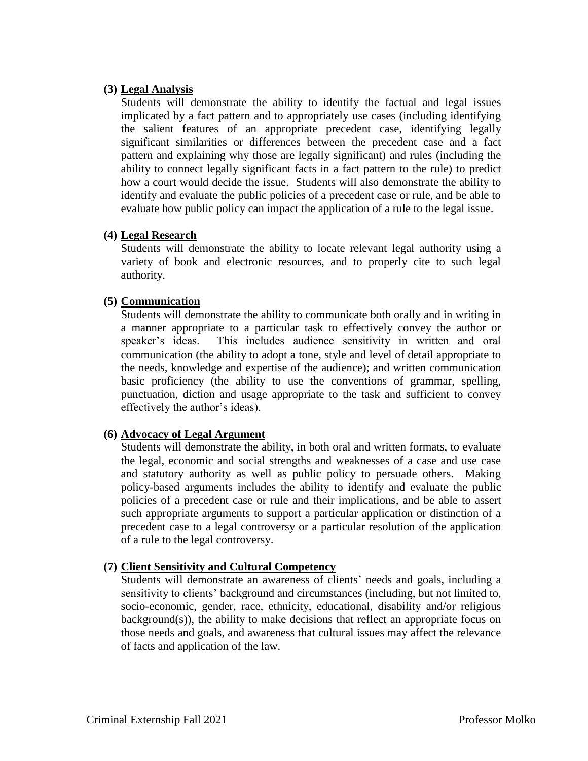## **(3) Legal Analysis**

Students will demonstrate the ability to identify the factual and legal issues implicated by a fact pattern and to appropriately use cases (including identifying the salient features of an appropriate precedent case, identifying legally significant similarities or differences between the precedent case and a fact pattern and explaining why those are legally significant) and rules (including the ability to connect legally significant facts in a fact pattern to the rule) to predict how a court would decide the issue. Students will also demonstrate the ability to identify and evaluate the public policies of a precedent case or rule, and be able to evaluate how public policy can impact the application of a rule to the legal issue.

## **(4) Legal Research**

Students will demonstrate the ability to locate relevant legal authority using a variety of book and electronic resources, and to properly cite to such legal authority.

## **(5) Communication**

Students will demonstrate the ability to communicate both orally and in writing in a manner appropriate to a particular task to effectively convey the author or speaker's ideas. This includes audience sensitivity in written and oral communication (the ability to adopt a tone, style and level of detail appropriate to the needs, knowledge and expertise of the audience); and written communication basic proficiency (the ability to use the conventions of grammar, spelling, punctuation, diction and usage appropriate to the task and sufficient to convey effectively the author's ideas).

### **(6) Advocacy of Legal Argument**

Students will demonstrate the ability, in both oral and written formats, to evaluate the legal, economic and social strengths and weaknesses of a case and use case and statutory authority as well as public policy to persuade others. Making policy-based arguments includes the ability to identify and evaluate the public policies of a precedent case or rule and their implications, and be able to assert such appropriate arguments to support a particular application or distinction of a precedent case to a legal controversy or a particular resolution of the application of a rule to the legal controversy.

### **(7) Client Sensitivity and Cultural Competency**

Students will demonstrate an awareness of clients' needs and goals, including a sensitivity to clients' background and circumstances (including, but not limited to, socio-economic, gender, race, ethnicity, educational, disability and/or religious background(s)), the ability to make decisions that reflect an appropriate focus on those needs and goals, and awareness that cultural issues may affect the relevance of facts and application of the law.